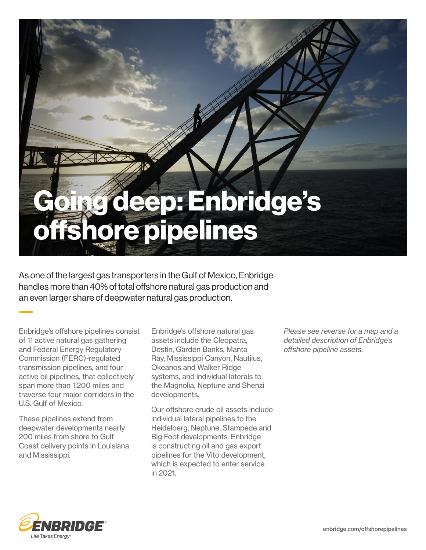## Going deep: Enbridge's offshore pipelines

As one of the largest gas transporters in the Gulf of Mexico, Enbridge handles more than 40% of total offshore natural gas production and an even larger share of deepwater natural gas production.

Enbridge's offshore pipelines consist of 11 active natural gas gathering and Federal Energy Regulatory Commission (FERC)-regulated transmission pipelines, and four active oil pipelines, that collectively span more than 1,200 miles and traverse four major corridors in the U.S. Gulf of Mexico.

These pipelines extend from deepwater developments nearly 200 miles from shore to Gulf Coast delivery points in Louisiana and Mississippi.

Enbridge's offshore natural gas assets include the Cleopatra, Destin, Garden Banks, Manta Ray, Mississippi Canyon, Nautilus, Okeanos and Walker Ridge systems, and individual laterals to the Magnolia, Neptune and Shenzi developments.

Our offshore crude oil assets include individual lateral pipelines to the Heidelberg, Neptune, Stampede and Big Foot developments. Enbridge is constructing oil and gas export pipelines for the Vito development, which is expected to enter service in 2021.

*Please see reverse for a map and a detailed description of Enbridge's offshore pipeline assets.*